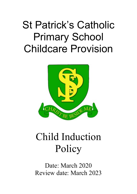## St Patrick's Catholic Primary School Childcare Provision



## Child Induction Policy

Date: March 2020 Review date: March 2023